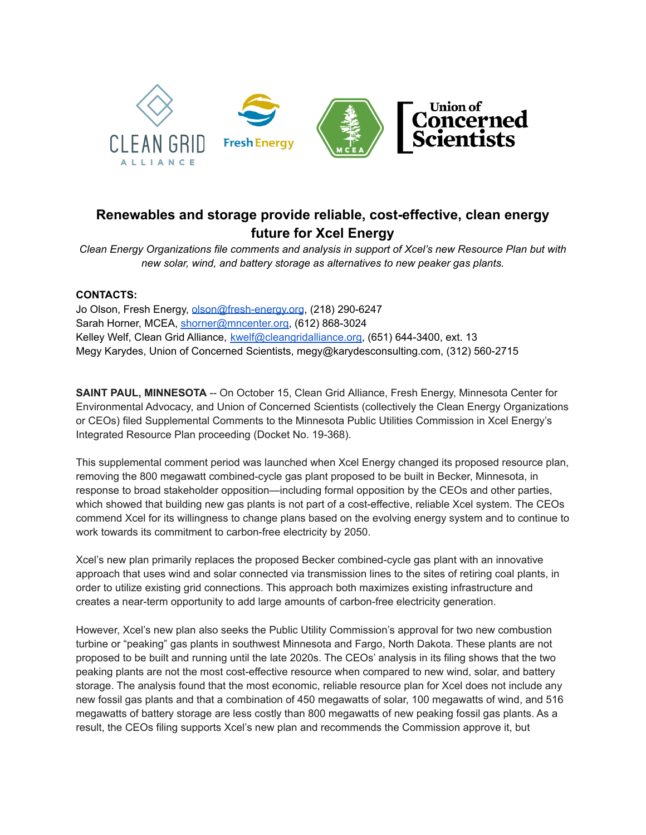

## **Renewables and storage provide reliable, cost-effective, clean energy future for Xcel Energy**

*Clean Energy Organizations file comments and analysis in support of Xcel's new Resource Plan but with new solar, wind, and battery storage as alternatives to new peaker gas plants.*

## **CONTACTS:**

Jo Olson, Fresh Energy, [olson@fresh-energy.org](mailto:olson@fresh-energy.org), (218) 290-6247 Sarah Horner, MCEA, [shorner@mncenter.org,](mailto:shorner@mncenter.org) (612) 868-3024 Kelley Welf, Clean Grid Alliance, [kwelf@cleangridalliance.org](mailto:kwelf@cleangridalliance.org), (651) 644-3400, ext. 13 Megy Karydes, Union of Concerned Scientists, megy@karydesconsulting.com, (312) 560-2715

**SAINT PAUL, MINNESOTA** -- On October 15, Clean Grid Alliance, Fresh Energy, Minnesota Center for Environmental Advocacy, and Union of Concerned Scientists (collectively the Clean Energy Organizations or CEOs) filed Supplemental Comments to the Minnesota Public Utilities Commission in Xcel Energy's Integrated Resource Plan proceeding (Docket No. 19-368).

This supplemental comment period was launched when Xcel Energy changed its proposed resource plan, removing the 800 megawatt combined-cycle gas plant proposed to be built in Becker, Minnesota, in response to broad stakeholder opposition—including formal opposition by the CEOs and other parties, which showed that building new gas plants is not part of a cost-effective, reliable Xcel system. The CEOs commend Xcel for its willingness to change plans based on the evolving energy system and to continue to work towards its commitment to carbon-free electricity by 2050.

Xcel's new plan primarily replaces the proposed Becker combined-cycle gas plant with an innovative approach that uses wind and solar connected via transmission lines to the sites of retiring coal plants, in order to utilize existing grid connections. This approach both maximizes existing infrastructure and creates a near-term opportunity to add large amounts of carbon-free electricity generation.

However, Xcel's new plan also seeks the Public Utility Commission's approval for two new combustion turbine or "peaking" gas plants in southwest Minnesota and Fargo, North Dakota. These plants are not proposed to be built and running until the late 2020s. The CEOs' analysis in its filing shows that the two peaking plants are not the most cost-effective resource when compared to new wind, solar, and battery storage. The analysis found that the most economic, reliable resource plan for Xcel does not include any new fossil gas plants and that a combination of 450 megawatts of solar, 100 megawatts of wind, and 516 megawatts of battery storage are less costly than 800 megawatts of new peaking fossil gas plants. As a result, the CEOs filing supports Xcel's new plan and recommends the Commission approve it, but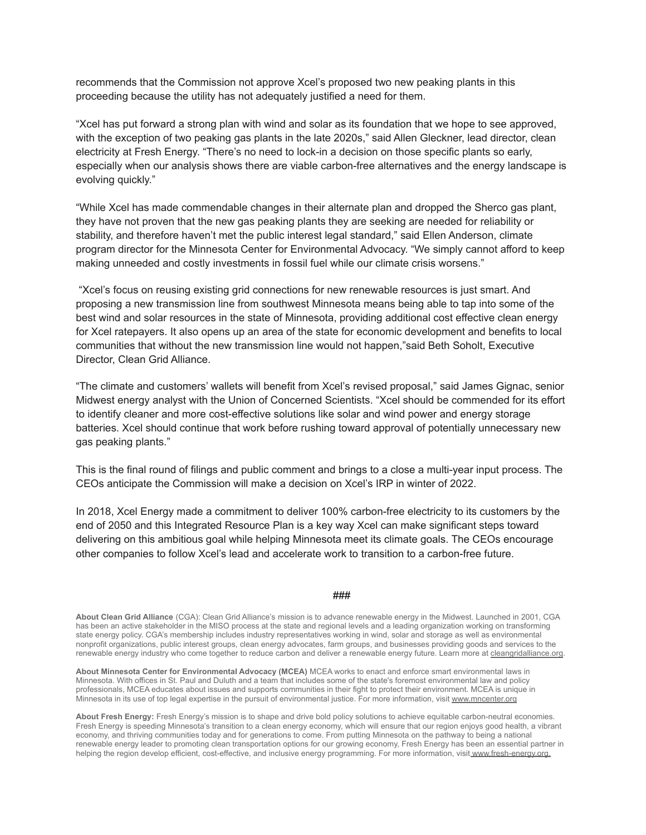recommends that the Commission not approve Xcel's proposed two new peaking plants in this proceeding because the utility has not adequately justified a need for them.

"Xcel has put forward a strong plan with wind and solar as its foundation that we hope to see approved, with the exception of two peaking gas plants in the late 2020s," said Allen Gleckner, lead director, clean electricity at Fresh Energy. "There's no need to lock-in a decision on those specific plants so early, especially when our analysis shows there are viable carbon-free alternatives and the energy landscape is evolving quickly."

"While Xcel has made commendable changes in their alternate plan and dropped the Sherco gas plant, they have not proven that the new gas peaking plants they are seeking are needed for reliability or stability, and therefore haven't met the public interest legal standard," said Ellen Anderson, climate program director for the Minnesota Center for Environmental Advocacy. "We simply cannot afford to keep making unneeded and costly investments in fossil fuel while our climate crisis worsens."

"Xcel's focus on reusing existing grid connections for new renewable resources is just smart. And proposing a new transmission line from southwest Minnesota means being able to tap into some of the best wind and solar resources in the state of Minnesota, providing additional cost effective clean energy for Xcel ratepayers. It also opens up an area of the state for economic development and benefits to local communities that without the new transmission line would not happen,"said Beth Soholt, Executive Director, Clean Grid Alliance.

"The climate and customers' wallets will benefit from Xcel's revised proposal," said James Gignac, senior Midwest energy analyst with the Union of Concerned Scientists. "Xcel should be commended for its effort to identify cleaner and more cost-effective solutions like solar and wind power and energy storage batteries. Xcel should continue that work before rushing toward approval of potentially unnecessary new gas peaking plants."

This is the final round of filings and public comment and brings to a close a multi-year input process. The CEOs anticipate the Commission will make a decision on Xcel's IRP in winter of 2022.

In 2018, Xcel Energy made a commitment to deliver 100% carbon-free electricity to its customers by the end of 2050 and this Integrated Resource Plan is a key way Xcel can make significant steps toward delivering on this ambitious goal while helping Minnesota meet its climate goals. The CEOs encourage other companies to follow Xcel's lead and accelerate work to transition to a carbon-free future.

## ###

**About Clean Grid Alliance** (CGA): Clean Grid Alliance's mission is to advance renewable energy in the Midwest. Launched in 2001, CGA has been an active stakeholder in the MISO process at the state and regional levels and a leading organization working on transforming state energy policy. CGA's membership includes industry representatives working in wind, solar and storage as well as environmental nonprofit organizations, public interest groups, clean energy advocates, farm groups, and businesses providing goods and services to the renewable energy industry who come together to reduce carbon and deliver a renewable energy future. Learn more at [cleangridalliance.org.](https://urldefense.proofpoint.com/v2/url?u=https-3A__nam04.safelinks.protection.outlook.com_-3Furl-3Dhttps-253A-252F-252Furldefense.proofpoint.com-252Fv2-252Furl-253Fu-253Dhttps-2D3A-5F-5Fu7061146.ct.sendgrid.net-5Fls-5Fclick-2D3Fupn-2D3D4tNED-2D2D2FM8iDZJQyQ53jATUY8dR6yXd9OVtkiouNQ5CO7drOVwz4Z72uqqo7glD2OHLXXtYwZtqzdO-2D2D2FPI154lQeE7V-2D2D2FMUGeQhUe7PtugC0KxCap-2D2D2FHUJHyWRMDVKI2DKRY0HTvgnk6gt3GQ6EVfHyxUd0hB3eFHP-2D2D2F87N1TsEYkWpdWNg1VjEoKVH0766Vu7RwlDPKSqzy0mf8sJe6D2Dd16kRr9ok4-2D2D2FjYL-2D2D2FWRta4mnLMATzP8nJtZt-2D2D2B-2D2D2FjuJNnkyWuXHdD4vnBVHQKpnJSpH7BiAVKraPszbzBNu1SWcmPFs5ofbDE-2D2D2FplZa-2D2D2BSuYLNp6kv65A8-2D2D2FD29DV2xnHwg5lNSS4WbQxV5ZLhbYV7ouOxeDPYDkToN7KCCEsW7hBY6lMDz4lO8tG-2D2D2FIN2KP9ZfwiVI6bbEtPBTRx-2D2D2BwLtC2lu2URukes1mTPUM9hEF745cYz7ODyIZFJmz8Co2RKlQB6uxjcc9nzfFBfOLG0ZBt-2D2D2B-2D2D2FR-2D2D2F6loB7pxKpXSADMZrYvD8TBilGXP9ieIv-2D5FJOtZVdmBKw-2D2D2BmCTwvbFFsyXK228uBBSFz3QqDz58XvNjF0aU9mBeRdUGuXCaGe1nonF8dteiEMrjKX3JIqZMJwZ5OcalwWZHvU2u2lUKi02MqY8CIOIl-2D2D2FC4sJA-2D2D2BbB1qWgruM7Cxzyg130TlVTihTr62GqZH43juyJnGhOxu5DIT6-2D2D2B5ve2LxW7T7TFuTsVbJRgunKHipWKoTTuGsLUAKop5hGztDe2jQ3J2WaZkY-2D2D2FLf3F4izlG2qDUamqtHgmh5kXyhy-2D2D2Fh7x0g6nSR17CGpRh6LHo5f0vY437nNnx-2D2D2B4RGNIRmkiKzvgU-2D2D2B7Ukthpk7D6Wq-2D2D2Fv69ZAo4bnI36r7D2NmqKcrqtgt6xyrXLrUjT3C-2D2D2FtlQI-2D2D3D-2526d-253DDwMFaQ-2526c-253DeuGZstcaTDllvimEN8b7jXrwqOf-2Dv5A-5FCdpgnVfiiMM-2526r-253Doh-5FOQrcavAuvBL9EfAxUR8BJRgZqjtisEAvKZMlok3w-2526m-253Dy14rs2ivmvV24z-5F0G3PIphFCPQFNgYObB-5FtlxWFav4g-2526s-253D-2Dh53Q6b-5FJFzGvF1C-2D7e5T8QkMOE27TgbO7UGkbGy8h8-2526e-253D-26data-3D02-257C01-257Cjrunyon-2540pennwell.com-257Cefa6ce8dc0d7406af89108d86c5bbad3-257C5bbf75da8a3f493c8343e6cd0cb0e070-257C0-257C0-257C637378488592123553-26sdata-3DwSVGmfRd5QNS0D-252FlwDyOaL-252FN-252Fe-252Bu-252FG77cySMVXZ84Vo-253D-26reserved-3D0&d=DwMGaQ&c=euGZstcaTDllvimEN8b7jXrwqOf-v5A_CdpgnVfiiMM&r=RsaykZ0pL-9M1vADfY6hVjX2GvxGrIyBaiMb948aJDc&m=3MgI6-9i94PVC-Da2OljH35By_xgwKaLw2c6J9sUC4s&s=Y0kr5b24Sfi-illTpo5NCUj1u8BauS_N9rXbM-E3Lck&e=)

**About Minnesota Center for Environmental Advocacy (MCEA)** MCEA works to enact and enforce smart environmental laws in Minnesota. With offices in St. Paul and Duluth and a team that includes some of the state's foremost environmental law and policy professionals, MCEA educates about issues and supports communities in their fight to protect their environment. MCEA is unique in Minnesota in its use of top legal expertise in the pursuit of environmental justice. For more information, visit [www.mncenter.org](http://www.mncenter.org)

**About Fresh Energy:** Fresh Energy's mission is to shape and drive bold policy solutions to achieve equitable carbon-neutral economies. Fresh Energy is speeding Minnesota's transition to a clean energy economy, which will ensure that our region enjoys good health, a vibrant economy, and thriving communities today and for generations to come. From putting Minnesota on the pathway to being a national renewable energy leader to promoting clean transportation options for our growing economy, Fresh Energy has been an essential partner in helping the region develop efficient, cost-effective, and inclusive energy programming. For more information, visit [www.fresh-energy.org.](http://www.fresh-energy.org.)